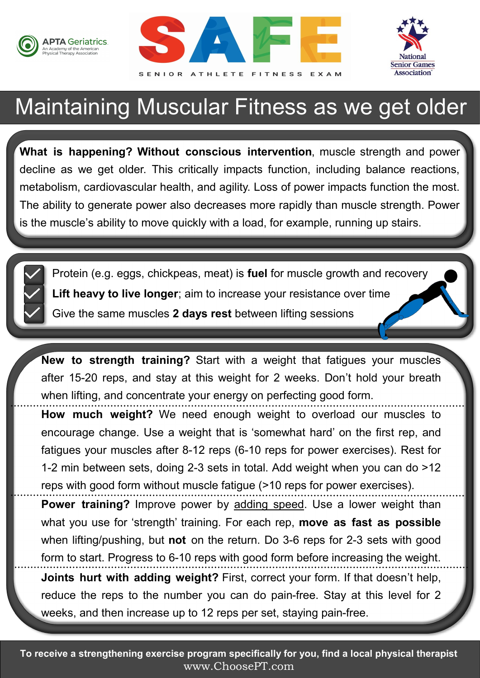





## Maintaining Muscular Fitness as we get older

**What is happening? Without conscious intervention**, muscle strength and power decline as we get older. This critically impacts function, including balance reactions, metabolism, cardiovascular health, and agility. Loss of power impacts function the most. The ability to generate power also decreases more rapidly than muscle strength. Power is the muscle's ability to move quickly with a load, for example, running up stairs.



Protein (e.g. eggs, chickpeas, meat) is **fuel** for muscle growth and recovery **Lift heavy to live longer**; aim to increase your resistance over time Give the same muscles **2 days rest** between lifting sessions

**New to strength training?** Start with a weight that fatigues your muscles after 15-20 reps, and stay at this weight for 2 weeks. Don't hold your breath when lifting, and concentrate your energy on perfecting good form.

**How much weight?** We need enough weight to overload our muscles to encourage change. Use a weight that is 'somewhat hard' on the first rep, and fatigues your muscles after 8-12 reps (6-10 reps for power exercises). Rest for 1-2 min between sets, doing 2-3 sets in total. Add weight when you can do >12 reps with good form without muscle fatigue (>10 reps for power exercises).

**Power training?** Improve power by adding speed. Use a lower weight than what you use for 'strength' training. For each rep, **move as fast as possible**  when lifting/pushing, but **not** on the return. Do 3-6 reps for 2-3 sets with good form to start. Progress to 6-10 reps with good form before increasing the weight. **Joints hurt with adding weight?** First, correct your form. If that doesn't help, reduce the reps to the number you can do pain-free. Stay at this level for 2

weeks, and then increase up to 12 reps per set, staying pain-free.